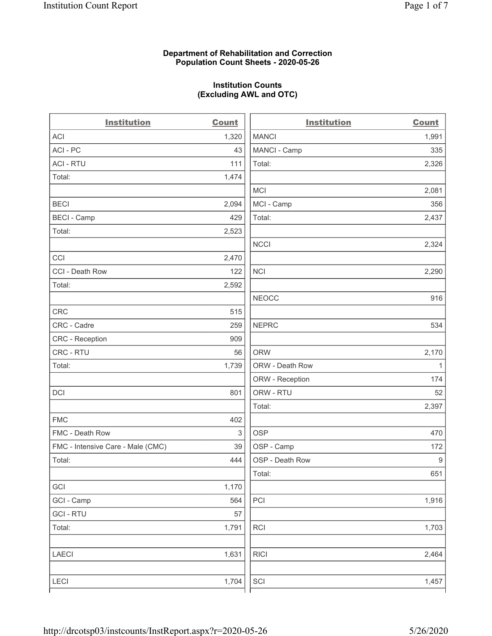### **Department of Rehabilitation and Correction Population Count Sheets - 2020-05-26**

# **Institution Counts (Excluding AWL and OTC)**

. .

| <b>Institution</b>                | <b>Count</b> | <b>Institution</b> | <b>Count</b>     |
|-----------------------------------|--------------|--------------------|------------------|
| ACI                               | 1,320        | <b>MANCI</b>       | 1,991            |
| ACI - PC                          | 43           | MANCI - Camp       | 335              |
| <b>ACI - RTU</b>                  | 111          | Total:             | 2,326            |
| Total:                            | 1,474        |                    |                  |
|                                   |              | MCI                | 2,081            |
| <b>BECI</b>                       | 2,094        | MCI - Camp         | 356              |
| <b>BECI - Camp</b>                | 429          | Total:             | 2,437            |
| Total:                            | 2,523        |                    |                  |
|                                   |              | <b>NCCI</b>        | 2,324            |
| CCI                               | 2,470        |                    |                  |
| CCI - Death Row                   | 122          | <b>NCI</b>         | 2,290            |
| Total:                            | 2,592        |                    |                  |
|                                   |              | <b>NEOCC</b>       | 916              |
| <b>CRC</b>                        | 515          |                    |                  |
| CRC - Cadre                       | 259          | <b>NEPRC</b>       | 534              |
| CRC - Reception                   | 909          |                    |                  |
| CRC - RTU                         | 56           | <b>ORW</b>         | 2,170            |
| Total:                            | 1,739        | ORW - Death Row    | $\mathbf{1}$     |
|                                   |              | ORW - Reception    | 174              |
| DCI                               | 801          | ORW - RTU          | 52               |
|                                   |              | Total:             | 2,397            |
| <b>FMC</b>                        | 402          |                    |                  |
| FMC - Death Row                   | 3            | <b>OSP</b>         | 470              |
| FMC - Intensive Care - Male (CMC) | 39           | OSP - Camp         | 172              |
| Total:                            | 444          | OSP - Death Row    | $\boldsymbol{9}$ |
|                                   |              | Total:             | 651              |
| GCI                               | 1,170        |                    |                  |
| GCI - Camp                        | 564          | $\mathsf{PCI}$     | 1,916            |
| <b>GCI-RTU</b>                    | 57           |                    |                  |
| Total:                            | 1,791        | RCI                | 1,703            |
| <b>LAECI</b>                      | 1,631        | <b>RICI</b>        | 2,464            |
| LECI                              | 1,704        | SCI                | 1,457            |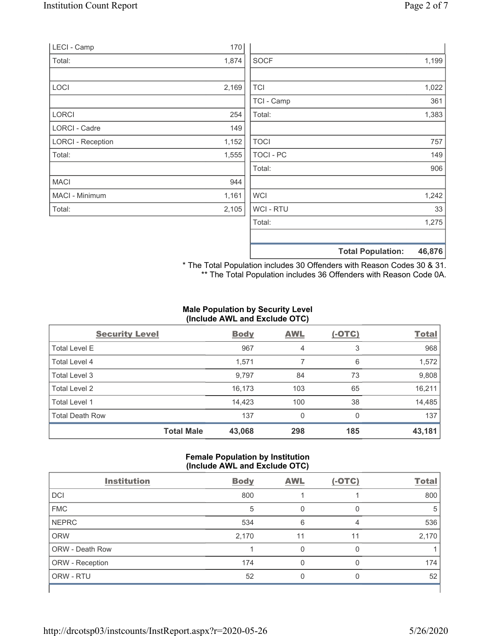| LECI - Camp              | 170   |             |                                    |
|--------------------------|-------|-------------|------------------------------------|
| Total:                   | 1,874 | <b>SOCF</b> | 1,199                              |
|                          |       |             |                                    |
| LOCI                     | 2,169 | <b>TCI</b>  | 1,022                              |
|                          |       | TCI - Camp  | 361                                |
| LORCI                    | 254   | Total:      | 1,383                              |
| LORCI - Cadre            | 149   |             |                                    |
| <b>LORCI - Reception</b> | 1,152 | <b>TOCI</b> | 757                                |
| Total:                   | 1,555 | TOCI - PC   | 149                                |
|                          |       | Total:      | 906                                |
| <b>MACI</b>              | 944   |             |                                    |
| MACI - Minimum           | 1,161 | <b>WCI</b>  | 1,242                              |
| Total:                   | 2,105 | WCI - RTU   | 33                                 |
|                          |       | Total:      | 1,275                              |
|                          |       |             | 46,876<br><b>Total Population:</b> |

\* The Total Population includes 30 Offenders with Reason Codes 30 & 31. \*\* The Total Population includes 36 Offenders with Reason Code 0A.

## **Male Population by Security Level (Include AWL and Exclude OTC)**

| <b>Security Level</b>  |                   | <b>Body</b> | <b>AWL</b> | $(-OTC)$ | <b>Total</b> |
|------------------------|-------------------|-------------|------------|----------|--------------|
| <b>Total Level E</b>   |                   | 967         | 4          | 3        | 968          |
| Total Level 4          |                   | 1,571       |            | 6        | 1,572        |
| Total Level 3          |                   | 9,797       | 84         | 73       | 9,808        |
| Total Level 2          |                   | 16,173      | 103        | 65       | 16,211       |
| Total Level 1          |                   | 14,423      | 100        | 38       | 14,485       |
| <b>Total Death Row</b> |                   | 137         | 0          | $\Omega$ | 137          |
|                        | <b>Total Male</b> | 43,068      | 298        | 185      | 43,181       |

## **Female Population by Institution (Include AWL and Exclude OTC)**

| <b>Institution</b>     | <b>Body</b> | <b>AWL</b> | $(-OTC)$ | <b>Total</b> |
|------------------------|-------------|------------|----------|--------------|
| <b>DCI</b>             | 800         |            |          | 800          |
| <b>FMC</b>             | 5           | 0          |          | 5            |
| <b>NEPRC</b>           | 534         | 6          |          | 536          |
| <b>ORW</b>             | 2,170       | 11         | 11       | 2,170        |
| <b>ORW - Death Row</b> |             | 0          |          |              |
| ORW - Reception        | 174         | 0          |          | 174          |
| ORW - RTU              | 52          |            |          | 52           |

 $\mathsf{I}$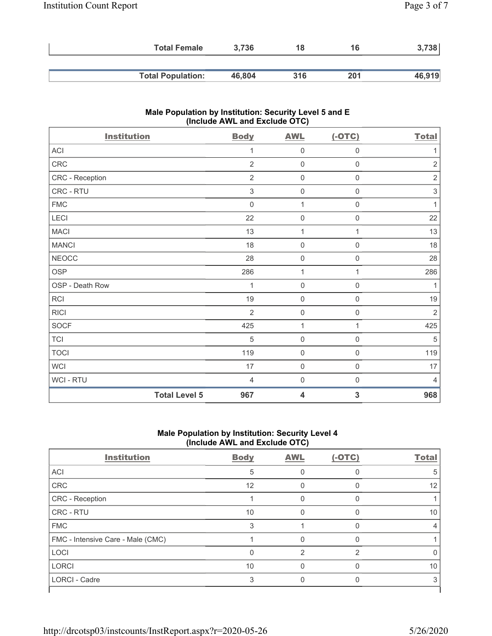|                          | 3.736<br><b>Total Female</b> | 18  | 16  | 738    |
|--------------------------|------------------------------|-----|-----|--------|
|                          |                              |     |     |        |
| <b>Total Population:</b> | 46,804                       | 316 | 201 | 46,919 |

# **Male Population by Institution: Security Level 5 and E (Include AWL and Exclude OTC)**

| <b>Institution</b> |                      | <b>Body</b>    | <b>AWL</b>          | $(-OTC)$            | <b>Total</b>              |
|--------------------|----------------------|----------------|---------------------|---------------------|---------------------------|
| ACI                |                      | 1              | $\mathbf 0$         | $\mathsf{O}\xspace$ | 1                         |
| CRC                |                      | $\overline{2}$ | $\mathsf{O}\xspace$ | $\boldsymbol{0}$    | $\sqrt{2}$                |
| CRC - Reception    |                      | $\overline{2}$ | $\boldsymbol{0}$    | $\mathsf{O}\xspace$ | $\sqrt{2}$                |
| CRC - RTU          |                      | $\mathfrak{S}$ | $\mathbf 0$         | $\mathbf 0$         | $\ensuremath{\mathsf{3}}$ |
| <b>FMC</b>         |                      | $\mathbf 0$    | $\mathbf{1}$        | $\mathsf{O}\xspace$ | $\mathbf{1}$              |
| LECI               |                      | 22             | $\mathsf{O}\xspace$ | $\mathbf 0$         | 22                        |
| <b>MACI</b>        |                      | 13             | $\mathbf{1}$        | 1                   | 13                        |
| <b>MANCI</b>       |                      | 18             | $\mathbf 0$         | $\mathsf{O}\xspace$ | 18                        |
| <b>NEOCC</b>       |                      | 28             | $\mathbf 0$         | 0                   | 28                        |
| <b>OSP</b>         |                      | 286            | $\mathbf 1$         | 1                   | 286                       |
| OSP - Death Row    |                      | 1              | $\mathbf 0$         | $\mathbf 0$         | $\mathbf{1}$              |
| <b>RCI</b>         |                      | 19             | $\mathbf 0$         | $\mathsf{O}\xspace$ | 19                        |
| <b>RICI</b>        |                      | $\overline{2}$ | $\mathsf{O}\xspace$ | $\mathbf 0$         | $\overline{2}$            |
| <b>SOCF</b>        |                      | 425            | $\mathbf{1}$        | $\mathbf{1}$        | 425                       |
| <b>TCI</b>         |                      | $\sqrt{5}$     | $\mathsf{O}\xspace$ | $\mathbf 0$         | $\,$ 5 $\,$               |
| <b>TOCI</b>        |                      | 119            | $\boldsymbol{0}$    | $\mathsf{O}\xspace$ | 119                       |
| <b>WCI</b>         |                      | 17             | $\boldsymbol{0}$    | $\mathbf 0$         | 17                        |
| <b>WCI-RTU</b>     |                      | $\overline{4}$ | $\mathbf 0$         | 0                   | $\overline{4}$            |
|                    | <b>Total Level 5</b> | 967            | 4                   | 3                   | 968                       |

## **Male Population by Institution: Security Level 4 (Include AWL and Exclude OTC)**

| <b>Institution</b>                | <b>Body</b> | <b>AWL</b> | $(-OTC)$       | <b>Total</b> |
|-----------------------------------|-------------|------------|----------------|--------------|
| ACI                               | 5           |            | O              | 5            |
| CRC                               | 12          | 0          | 0              | 12           |
| CRC - Reception                   |             |            |                |              |
| CRC - RTU                         | 10          |            |                | 10           |
| <b>FMC</b>                        | 3           |            | U              |              |
| FMC - Intensive Care - Male (CMC) |             |            |                |              |
| LOCI                              | $\Omega$    | 2          | $\mathfrak{p}$ |              |
| <b>LORCI</b>                      | 10          |            |                | 10           |
| <b>LORCI - Cadre</b>              | 3           |            |                | 3            |
|                                   |             |            |                |              |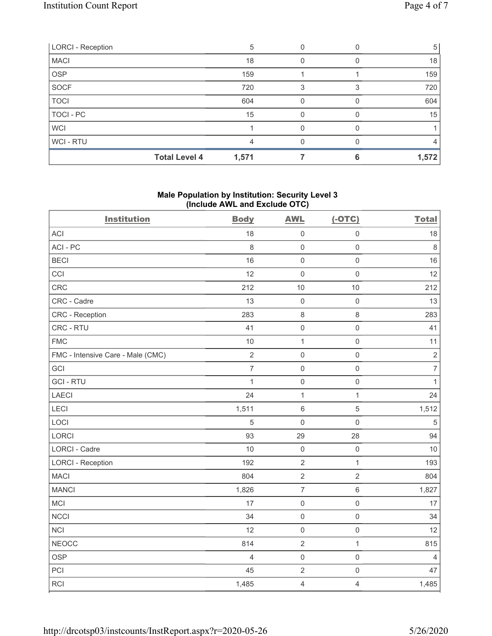| <b>LORCI - Reception</b> |                      | 5     |   |   | 5     |
|--------------------------|----------------------|-------|---|---|-------|
| <b>MACI</b>              |                      | 18    |   |   | 18    |
| <b>OSP</b>               |                      | 159   |   |   | 159   |
| SOCF                     |                      | 720   | 3 | З | 720   |
| <b>TOCI</b>              |                      | 604   |   |   | 604   |
| TOCI - PC                |                      | 15    | O |   | 15    |
| <b>WCI</b>               |                      |       |   |   |       |
| WCI - RTU                |                      |       | O |   | 4     |
|                          | <b>Total Level 4</b> | 1,571 |   |   | 1,572 |

### **Male Population by Institution: Security Level 3 (Include AWL and Exclude OTC)**

| <b>Institution</b>                | <b>Body</b>    | <b>AWL</b>     | $(-OTC)$            | <b>Total</b>     |
|-----------------------------------|----------------|----------------|---------------------|------------------|
| <b>ACI</b>                        | 18             | $\mathsf 0$    | $\mathsf 0$         | 18               |
| ACI-PC                            | 8              | $\mathbf 0$    | $\mathsf 0$         | $\,8\,$          |
| <b>BECI</b>                       | 16             | $\mathbf 0$    | $\mathsf 0$         | 16               |
| CCI                               | 12             | $\mathbf 0$    | $\mathsf{O}\xspace$ | 12               |
| CRC                               | 212            | 10             | 10                  | 212              |
| CRC - Cadre                       | 13             | $\mathbf 0$    | $\mathsf 0$         | 13               |
| CRC - Reception                   | 283            | $\,8\,$        | 8                   | 283              |
| CRC - RTU                         | 41             | $\mathbf 0$    | $\mathbf 0$         | 41               |
| <b>FMC</b>                        | 10             | $\mathbf{1}$   | $\mathbf 0$         | 11               |
| FMC - Intensive Care - Male (CMC) | $\overline{2}$ | $\mathsf 0$    | $\mathsf{O}\xspace$ | $\sqrt{2}$       |
| GCI                               | $\overline{7}$ | $\mathbf 0$    | $\mathsf{O}\xspace$ | $\boldsymbol{7}$ |
| <b>GCI-RTU</b>                    | $\mathbf{1}$   | $\mathbf 0$    | $\mathsf{O}\xspace$ | $\mathbf{1}$     |
| LAECI                             | 24             | $\mathbf{1}$   | $\mathbf{1}$        | 24               |
| LECI                              | 1,511          | $6\,$          | 5                   | 1,512            |
| LOCI                              | 5              | $\mathbf 0$    | $\mathbf 0$         | $\sqrt{5}$       |
| LORCI                             | 93             | 29             | 28                  | 94               |
| <b>LORCI - Cadre</b>              | 10             | $\mathbf 0$    | $\mathsf{O}\xspace$ | 10               |
| <b>LORCI - Reception</b>          | 192            | $\overline{2}$ | $\mathbf{1}$        | 193              |
| <b>MACI</b>                       | 804            | $\sqrt{2}$     | $\overline{2}$      | 804              |
| <b>MANCI</b>                      | 1,826          | $\overline{7}$ | $\,6\,$             | 1,827            |
| MCI                               | 17             | $\mathbf 0$    | $\mathsf{O}\xspace$ | 17               |
| <b>NCCI</b>                       | 34             | $\mathsf 0$    | $\mathsf{O}\xspace$ | 34               |
| NCI                               | 12             | $\mathbf 0$    | $\mathsf{O}\xspace$ | 12               |
| <b>NEOCC</b>                      | 814            | $\sqrt{2}$     | $\mathbf{1}$        | 815              |
| <b>OSP</b>                        | $\overline{4}$ | $\mathbf 0$    | $\mathsf{O}\xspace$ | $\overline{4}$   |
| PCI                               | 45             | $\sqrt{2}$     | $\mathsf{O}\xspace$ | 47               |
| <b>RCI</b>                        | 1,485          | $\overline{4}$ | $\overline{4}$      | 1,485            |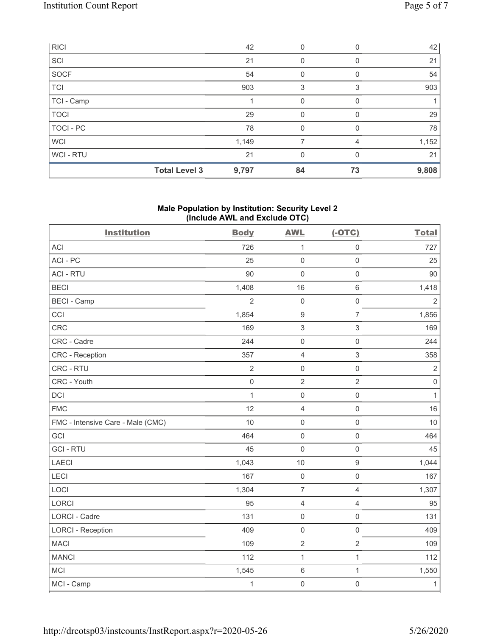|             | <b>Total Level 3</b> | 9,797 | 84       | 73 | 9,808 |
|-------------|----------------------|-------|----------|----|-------|
| WCI-RTU     |                      | 21    | 0        | 0  | 21    |
| <b>WCI</b>  |                      | 1,149 |          | 4  | 1,152 |
| TOCI-PC     |                      | 78    | 0        |    | 78    |
| <b>TOCI</b> |                      | 29    | $\Omega$ | 0  | 29    |
| TCI - Camp  |                      |       | 0        | 0  |       |
| TCI         |                      | 903   | 3        | 3  | 903   |
| SOCF        |                      | 54    | 0        | 0  | 54    |
| SCI         |                      | 21    | 0        | 0  | 21    |
| <b>RICI</b> |                      | 42    | 0        |    | 42    |

## **Male Population by Institution: Security Level 2 (Include AWL and Exclude OTC)**

| <b>Institution</b>                | <b>Body</b>         | <b>AWL</b>          | $(-OTC)$                  | <b>Total</b>   |
|-----------------------------------|---------------------|---------------------|---------------------------|----------------|
| <b>ACI</b>                        | 726                 | $\mathbf{1}$        | $\mathsf 0$               | 727            |
| ACI-PC                            | 25                  | $\mathbf 0$         | $\mathbf 0$               | 25             |
| <b>ACI - RTU</b>                  | 90                  | $\mathbf 0$         | $\mathsf{O}\xspace$       | 90             |
| <b>BECI</b>                       | 1,408               | 16                  | $\,6\,$                   | 1,418          |
| <b>BECI - Camp</b>                | $\overline{2}$      | $\mathbf 0$         | $\mathsf{O}\xspace$       | $\overline{2}$ |
| CCI                               | 1,854               | $\boldsymbol{9}$    | $\overline{7}$            | 1,856          |
| CRC                               | 169                 | $\mathsf 3$         | $\ensuremath{\mathsf{3}}$ | 169            |
| CRC - Cadre                       | 244                 | $\mathsf{O}\xspace$ | $\mathsf 0$               | 244            |
| <b>CRC</b> - Reception            | 357                 | $\overline{4}$      | $\mathfrak{S}$            | 358            |
| CRC - RTU                         | $\overline{2}$      | $\mathsf{O}\xspace$ | $\mathsf{O}\xspace$       | $\sqrt{2}$     |
| CRC - Youth                       | $\mathsf{O}\xspace$ | $\overline{2}$      | $\overline{2}$            | $\mathbf 0$    |
| DCI                               | $\mathbf{1}$        | $\mathsf{O}$        | $\mathsf{O}\xspace$       | 1              |
| <b>FMC</b>                        | 12                  | $\overline{4}$      | $\mathbf 0$               | 16             |
| FMC - Intensive Care - Male (CMC) | 10                  | $\mathsf{O}\xspace$ | $\mathsf 0$               | 10             |
| GCI                               | 464                 | $\mathsf{O}\xspace$ | $\mathsf 0$               | 464            |
| <b>GCI-RTU</b>                    | 45                  | $\mathbf 0$         | $\mathsf 0$               | 45             |
| LAECI                             | 1,043               | 10                  | $\boldsymbol{9}$          | 1,044          |
| LECI                              | 167                 | $\mathsf{O}\xspace$ | $\mathsf{O}\xspace$       | 167            |
| LOCI                              | 1,304               | $\overline{7}$      | $\overline{4}$            | 1,307          |
| LORCI                             | 95                  | $\overline{4}$      | $\overline{4}$            | 95             |
| <b>LORCI - Cadre</b>              | 131                 | $\mathbf 0$         | $\mathsf{O}\xspace$       | 131            |
| <b>LORCI - Reception</b>          | 409                 | $\mathsf{O}\xspace$ | $\mathsf 0$               | 409            |
| <b>MACI</b>                       | 109                 | $\sqrt{2}$          | $\sqrt{2}$                | 109            |
| <b>MANCI</b>                      | 112                 | $\mathbf 1$         | $\mathbf{1}$              | 112            |
| <b>MCI</b>                        | 1,545               | $\,6\,$             | 1                         | 1,550          |
| MCI - Camp                        | $\mathbf{1}$        | $\mathbf 0$         | $\mathsf 0$               | $\mathbf{1}$   |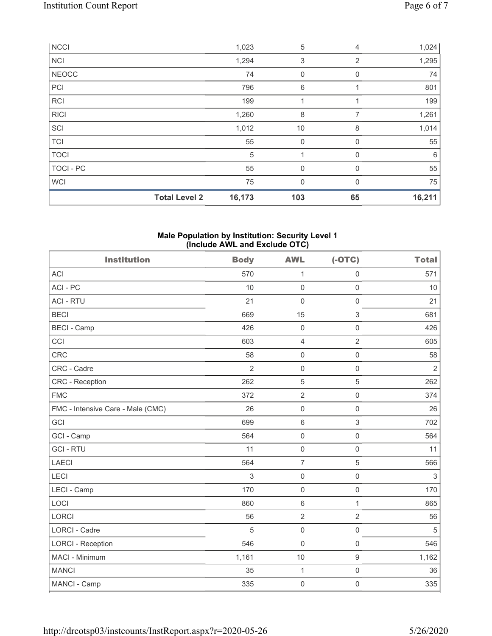|              | <b>Total Level 2</b> | 16,173 | 103         | 65             | 16,211 |
|--------------|----------------------|--------|-------------|----------------|--------|
| <b>WCI</b>   |                      | 75     | $\mathbf 0$ | $\Omega$       | 75     |
| TOCI - PC    |                      | 55     | $\mathbf 0$ | 0              | 55     |
| <b>TOCI</b>  |                      | 5      |             | 0              | 6      |
| <b>TCI</b>   |                      | 55     | 0           | 0              | 55     |
| SCI          |                      | 1,012  | 10          | 8              | 1,014  |
| <b>RICI</b>  |                      | 1,260  | 8           | 7              | 1,261  |
| <b>RCI</b>   |                      | 199    | 1           | 1              | 199    |
| PCI          |                      | 796    | 6           |                | 801    |
| <b>NEOCC</b> |                      | 74     | 0           | 0              | 74     |
| <b>NCI</b>   |                      | 1,294  | 3           | $\overline{2}$ | 1,295  |
| <b>NCCI</b>  |                      | 1,023  | 5           | 4              | 1,024  |

#### **Male Population by Institution: Security Level 1 (Include AWL and Exclude OTC)**

| <b>Institution</b>                | <b>Body</b>    | <b>AWL</b>          | $(-OTC)$            | <b>Total</b>   |
|-----------------------------------|----------------|---------------------|---------------------|----------------|
| <b>ACI</b>                        | 570            | 1                   | $\mathsf{O}\xspace$ | 571            |
| ACI-PC                            | 10             | $\mathsf{O}\xspace$ | $\mathsf{O}\xspace$ | 10             |
| <b>ACI - RTU</b>                  | 21             | $\mathbf 0$         | $\mathsf{O}\xspace$ | 21             |
| <b>BECI</b>                       | 669            | 15                  | 3                   | 681            |
| <b>BECI - Camp</b>                | 426            | $\boldsymbol{0}$    | $\mathsf{O}\xspace$ | 426            |
| CCI                               | 603            | $\overline{4}$      | $\overline{2}$      | 605            |
| CRC                               | 58             | $\mathsf{O}\xspace$ | $\mathsf{O}\xspace$ | 58             |
| CRC - Cadre                       | $\overline{2}$ | $\mathbf 0$         | $\mathsf{O}\xspace$ | $\overline{2}$ |
| <b>CRC</b> - Reception            | 262            | 5                   | 5                   | 262            |
| <b>FMC</b>                        | 372            | $\sqrt{2}$          | $\mathsf{O}\xspace$ | 374            |
| FMC - Intensive Care - Male (CMC) | 26             | $\mathbf 0$         | $\mathbf 0$         | 26             |
| GCI                               | 699            | $\,6\,$             | $\,$ 3 $\,$         | 702            |
| GCI - Camp                        | 564            | $\mathbf 0$         | $\mathsf 0$         | 564            |
| <b>GCI-RTU</b>                    | 11             | $\mathbf 0$         | $\mathbf 0$         | 11             |
| <b>LAECI</b>                      | 564            | $\overline{7}$      | 5                   | 566            |
| LECI                              | 3              | $\mathsf{O}\xspace$ | $\mathsf 0$         | $\sqrt{3}$     |
| LECI - Camp                       | 170            | $\mathbf 0$         | $\mathsf{O}\xspace$ | 170            |
| LOCI                              | 860            | $\,6\,$             | $\mathbf{1}$        | 865            |
| LORCI                             | 56             | $\overline{2}$      | $\overline{2}$      | 56             |
| LORCI - Cadre                     | 5              | $\mathbf 0$         | $\mathsf{O}\xspace$ | 5              |
| <b>LORCI - Reception</b>          | 546            | $\mathbf 0$         | $\mathbf 0$         | 546            |
| MACI - Minimum                    | 1,161          | 10                  | $\boldsymbol{9}$    | 1,162          |
| <b>MANCI</b>                      | 35             | $\mathbf{1}$        | 0                   | 36             |
| MANCI - Camp                      | 335            | $\mathbf 0$         | $\mathsf{O}\xspace$ | 335            |